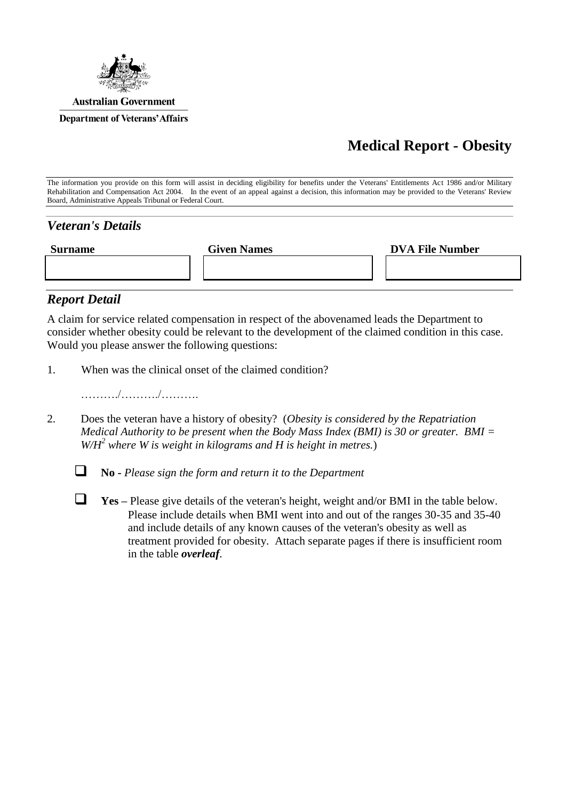

## **Medical Report - Obesity**

The information you provide on this form will assist in deciding eligibility for benefits under the Veterans' Entitlements Act 1986 and/or Military Rehabilitation and Compensation Act 2004. In the event of an appeal against a decision, this information may be provided to the Veterans' Review Board, Administrative Appeals Tribunal or Federal Court.

## *Veteran's Details*

| <b>Surname</b> | <b>Given Names</b> | <b>DVA File Number</b> |
|----------------|--------------------|------------------------|
|                |                    |                        |
|                |                    |                        |

## *Report Detail*

A claim for service related compensation in respect of the abovenamed leads the Department to consider whether obesity could be relevant to the development of the claimed condition in this case. Would you please answer the following questions:

1. When was the clinical onset of the claimed condition?

………./………./……….

2. Does the veteran have a history of obesity? (*Obesity is considered by the Repatriation Medical Authority to be present when the Body Mass Index (BMI) is 30 or greater. BMI = W/H<sup>2</sup> where W is weight in kilograms and H is height in metres.*)



**No -** *Please sign the form and return it to the Department*

 **Yes –** Please give details of the veteran's height, weight and/or BMI in the table below. Please include details when BMI went into and out of the ranges 30-35 and 35-40 and include details of any known causes of the veteran's obesity as well as treatment provided for obesity. Attach separate pages if there is insufficient room in the table *overleaf*.